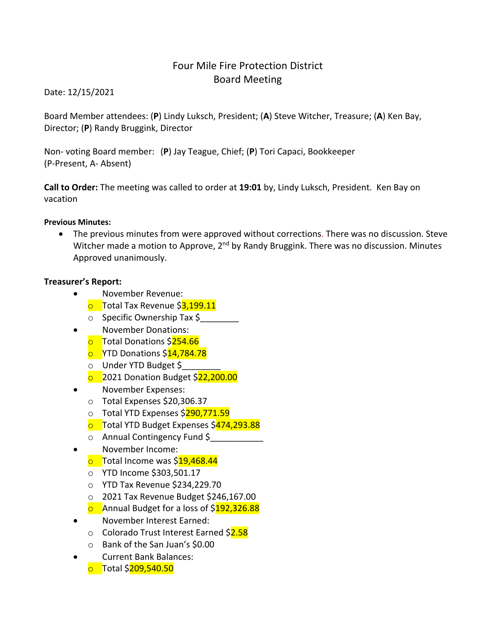# Four Mile Fire Protection District Board Meeting

Date: 12/15/2021

Board Member attendees: (**P**) Lindy Luksch, President; (**A**) Steve Witcher, Treasure; (**A**) Ken Bay, Director; (**P**) Randy Bruggink, Director

Non- voting Board member: (**P**) Jay Teague, Chief; (**P**) Tori Capaci, Bookkeeper (P-Present, A- Absent)

**Call to Order:** The meeting was called to order at **19:01** by, Lindy Luksch, President. Ken Bay on vacation

#### **Previous Minutes:**

• The previous minutes from were approved without corrections. There was no discussion. Steve Witcher made a motion to Approve,  $2^{nd}$  by Randy Bruggink. There was no discussion. Minutes Approved unanimously.

#### **Treasurer's Report:**

- November Revenue:
	- **o** Total Tax Revenue \$3,199.11
	- $\circ$  Specific Ownership Tax \$
- November Donations:
	- **o** Total Donations \$254.66
	- **o** YTD Donations \$14,784.78
	- o Under YTD Budget \$\_\_\_\_\_\_\_\_
	- **o** 2021 Donation Budget \$22,200.00
- November Expenses:
	- o Total Expenses \$20,306.37
	- o Total YTD Expenses \$290,771.59
	- **o** Total YTD Budget Expenses \$474,293.88
	- o Annual Contingency Fund \$\_\_\_\_\_\_\_\_\_\_\_
- November Income:
	- $\circ$  Total Income was \$19,468.44
	- o YTD Income \$303,501.17
	- o YTD Tax Revenue \$234,229.70
	- o 2021 Tax Revenue Budget \$246,167.00
	- **o** Annual Budget for a loss of \$192,326.88
- November Interest Earned:
	- o Colorado Trust Interest Earned \$2.58
	- o Bank of the San Juan's \$0.00
- Current Bank Balances:
	- o Total \$209,540.50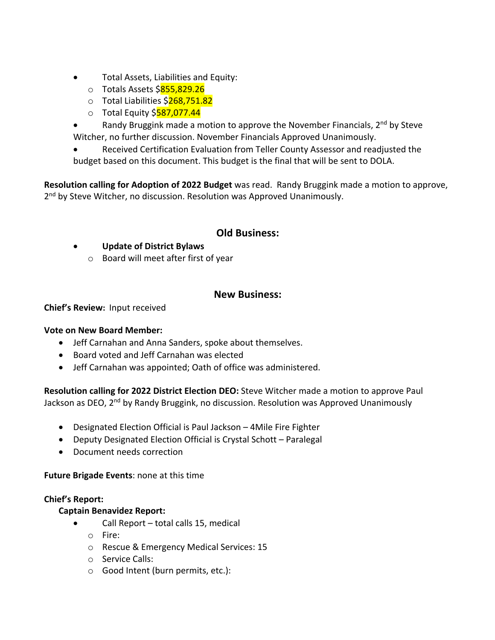- Total Assets, Liabilities and Equity:
	- o Totals Assets \$855,829.26
	- o Total Liabilities \$268,751.82
	- $\circ$  Total Equity \$587,077.44
- Randy Bruggink made a motion to approve the November Financials,  $2<sup>nd</sup>$  by Steve Witcher, no further discussion. November Financials Approved Unanimously.
- Received Certification Evaluation from Teller County Assessor and readjusted the budget based on this document. This budget is the final that will be sent to DOLA.

**Resolution calling for Adoption of 2022 Budget** was read. Randy Bruggink made a motion to approve, 2<sup>nd</sup> by Steve Witcher, no discussion. Resolution was Approved Unanimously.

### **Old Business:**

- **Update of District Bylaws**
	- o Board will meet after first of year

### **New Business:**

**Chief's Review:** Input received

#### **Vote on New Board Member:**

- Jeff Carnahan and Anna Sanders, spoke about themselves.
- Board voted and Jeff Carnahan was elected
- Jeff Carnahan was appointed; Oath of office was administered.

**Resolution calling for 2022 District Election DEO:** Steve Witcher made a motion to approve Paul Jackson as DEO, 2<sup>nd</sup> by Randy Bruggink, no discussion. Resolution was Approved Unanimously

- Designated Election Official is Paul Jackson 4Mile Fire Fighter
- Deputy Designated Election Official is Crystal Schott Paralegal
- Document needs correction

**Future Brigade Events**: none at this time

#### **Chief's Report:**

#### **Captain Benavidez Report:**

- Call Report total calls 15, medical
	- o Fire:
	- o Rescue & Emergency Medical Services: 15
	- o Service Calls:
	- o Good Intent (burn permits, etc.):